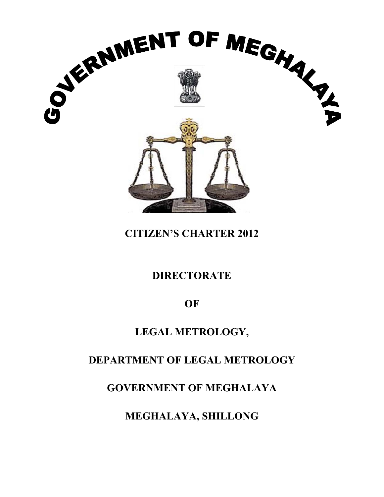

# **CIT TIZEN'S S CHAR RTER 2 2012**

# **DIRE ECTOR RATE**

**OF** 

# LEGAL METROLOGY,

# **DEPARTMENT OF LEGAL METROLOGY**

**GOVERNMENT OF MEGHALAYA** 

**MEGHALAYA, SHILLONG**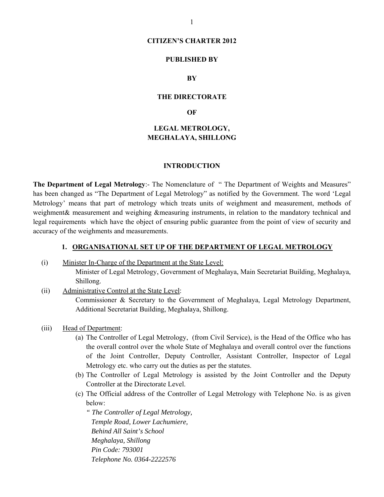### **CITIZEN'S CHARTER 2012**

### **PUBLISHED BY**

#### **BY**

#### **THE DIRECTORATE**

#### **OF**

## **LEGAL METROLOGY, MEGHALAYA, SHILLONG**

#### **INTRODUCTION**

**The Department of Legal Metrology**:- The Nomenclature of " The Department of Weights and Measures" has been changed as "The Department of Legal Metrology" as notified by the Government. The word 'Legal Metrology' means that part of metrology which treats units of weighment and measurement, methods of weighment& measurement and weighing &measuring instruments, in relation to the mandatory technical and legal requirements which have the object of ensuring public guarantee from the point of view of security and accuracy of the weighments and measurements.

### **1. ORGANISATIONAL SET UP OF THE DEPARTMENT OF LEGAL METROLOGY**

- (i) Minister In-Charge of the Department at the State Level: Minister of Legal Metrology, Government of Meghalaya, Main Secretariat Building, Meghalaya, Shillong.
- (ii) Administrative Control at the State Level: Commissioner & Secretary to the Government of Meghalaya, Legal Metrology Department, Additional Secretariat Building, Meghalaya, Shillong.
- (iii) Head of Department:
	- (a) The Controller of Legal Metrology, (from Civil Service), is the Head of the Office who has the overall control over the whole State of Meghalaya and overall control over the functions of the Joint Controller, Deputy Controller, Assistant Controller, Inspector of Legal Metrology etc. who carry out the duties as per the statutes.
	- (b) The Controller of Legal Metrology is assisted by the Joint Controller and the Deputy Controller at the Directorate Level.
	- (c) The Official address of the Controller of Legal Metrology with Telephone No. is as given below:

*" The Controller of Legal Metrology, Temple Road, Lower Lachumiere, Behind All Saint's School Meghalaya, Shillong Pin Code: 793001 Telephone No. 0364-2222576*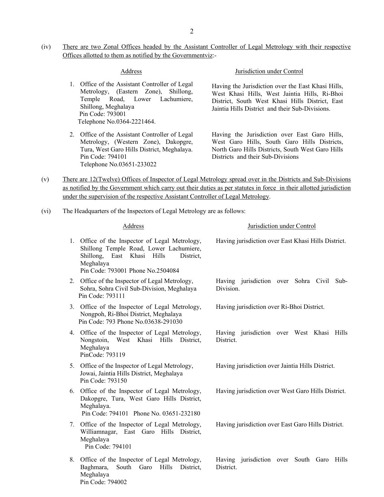(iv) There are two Zonal Offices headed by the Assistant Controller of Legal Metrology with their respective Offices allotted to them as notified by the Governmentviz:-

- 1. Office of the Assistant Controller of Legal Metrology, (Eastern Zone), Shillong, Temple Road, Lower Lachumiere, Shillong, Meghalaya Pin Code: 793001 Telephone No.0364-2221464.
- 2. Office of the Assistant Controller of Legal Metrology, (Western Zone), Dakopgre, Tura, West Garo Hills District, Meghalaya. Pin Code: 794101 Telephone No.03651-233022

#### Address Jurisdiction under Control

Having the Jurisdiction over the East Khasi Hills, West Khasi Hills, West Jaintia Hills, Ri-Bhoi District, South West Khasi Hills District, East Jaintia Hills District and their Sub-Divisions.

 Having the Jurisdiction over East Garo Hills, West Garo Hills, South Garo Hills Districts, North Garo Hills Districts, South West Garo Hills Districts and their Sub-Divisions

- (v) There are 12(Twelve) Offices of Inspector of Legal Metrology spread over in the Districts and Sub-Divisions as notified by the Government which carry out their duties as per statutes in force in their allotted jurisdiction under the supervision of the respective Assistant Controller of Legal Metrology.
- (vi) The Headquarters of the Inspectors of Legal Metrology are as follows:

| Address                                                                                                                                                                                   | Jurisdiction under Control                                |
|-------------------------------------------------------------------------------------------------------------------------------------------------------------------------------------------|-----------------------------------------------------------|
| 1. Office of the Inspector of Legal Metrology,<br>Shillong Temple Road, Lower Lachumiere,<br>East Khasi Hills<br>Shillong,<br>District,<br>Meghalaya<br>Pin Code: 793001 Phone No.2504084 | Having jurisdiction over East Khasi Hills District.       |
| 2. Office of the Inspector of Legal Metrology,<br>Sohra, Sohra Civil Sub-Division, Meghalaya<br>Pin Code: 793111                                                                          | Having jurisdiction over Sohra Civil<br>Sub-<br>Division. |
| 3. Office of the Inspector of Legal Metrology,<br>Nongpoh, Ri-Bhoi District, Meghalaya<br>Pin Code: 793 Phone No.03638-291030                                                             | Having jurisdiction over Ri-Bhoi District.                |
| 4. Office of the Inspector of Legal Metrology,<br>Nongstoin, West Khasi Hills<br>District,<br>Meghalaya<br>PinCode: 793119                                                                | Having jurisdiction over West Khasi Hills<br>District.    |
| 5. Office of the Inspector of Legal Metrology,<br>Jowai, Jaintia Hills District, Meghalaya<br>Pin Code: 793150                                                                            | Having jurisdiction over Jaintia Hills District.          |
| 6. Office of the Inspector of Legal Metrology,<br>Dakopgre, Tura, West Garo Hills District,<br>Meghalaya.<br>Pin Code: 794101 Phone No. 03651-232180                                      | Having jurisdiction over West Garo Hills District.        |
| Office of the Inspector of Legal Metrology,<br>7.<br>Williamnagar, East Garo Hills District,<br>Meghalaya<br>Pin Code: 794101                                                             | Having jurisdiction over East Garo Hills District.        |
| 8. Office of the Inspector of Legal Metrology,<br>Baghmara,<br>South Garo<br>Hills<br>District,<br>Meghalaya                                                                              | Having jurisdiction over South Garo Hills<br>District.    |

#### Pin Code: 794002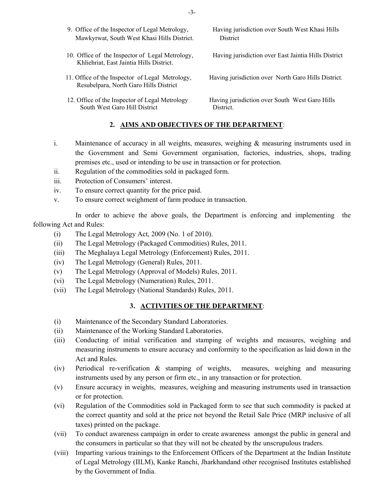- Mawkyrwat, South West Khasi Hills District. District
- Khliehriat, East Jaintia Hills District.
- Resubelpara, North Garo Hills District
- South West Garo Hill District District.
- 9. Office of the Inspector of Legal Metrology, Having jurisdiction over South West Khasi Hills
- 10. Office of the Inspector of Legal Metrology, Having jurisdiction over East Jaintia Hills District
- 11. Office of the Inspector of Legal Metrology, Having jurisdiction over North Garo Hills District.

12. Office of the Inspector of Legal Metrology Having jurisdiction over South West Garo Hills

### **2. AIMS AND OBJECTIVES OF THE DEPARTMENT**:

- i. Maintenance of accuracy in all weights, measures, weighing & measuring instruments used in the Government and Semi Government organisation, factories, industries, shops, trading premises etc., used or intending to be use in transaction or for protection.
- ii. Regulation of the commodities sold in packaged form.
- iii. Protection of Consumers' interest.
- iv. To ensure correct quantity for the price paid.
- v. To ensure correct weighment of farm produce in transaction.

 In order to achieve the above goals, the Department is enforcing and implementing the following Act and Rules:

- (i) The Legal Metrology Act, 2009 (No. 1 of 2010).
- (ii) The Legal Metrology (Packaged Commodities) Rules, 2011.
- (iii) The Meghalaya Legal Metrology (Enforcement) Rules, 2011.
- (iv) The Legal Metrology (General) Rules, 2011.
- (v) The Legal Metrology (Approval of Models) Rules, 2011.
- (vi) The Legal Metrology (Numeration) Rules, 2011.
- (vii) The Legal Metrology (National Standards) Rules, 2011.

#### **3. ACTIVITIES OF THE DEPARTMENT**:

- (i) Maintenance of the Secondary Standard Laboratories.
- (ii) Maintenance of the Working Standard Laboratories.
- (iii) Conducting of initial verification and stamping of weights and measures, weighing and measuring instruments to ensure accuracy and conformity to the specification as laid down in the Act and Rules.
- (iv) Periodical re-verification & stamping of weights, measures, weighing and measuring instruments used by any person or firm etc., in any transaction or for protection.
- (v) Ensure accuracy in weights, measures, weighing and measuring instruments used in transaction or for protection.
- (vi) Regulation of the Commodities sold in Packaged form to see that such commodity is packed at the correct quantity and sold at the price not beyond the Retail Sale Price (MRP inclusive of all taxes) printed on the package.
- (vii) To conduct awareness campaign in order to create awareness amongst the public in general and the consumers in particular so that they will not be cheated by the unscrupulous traders.
- (viii) Imparting various trainings to the Enforcement Officers of the Department at the Indian Institute of Legal Metrology (IILM), Kanke Ranchi, Jharkhandand other recognised Institutes established by the Government of India.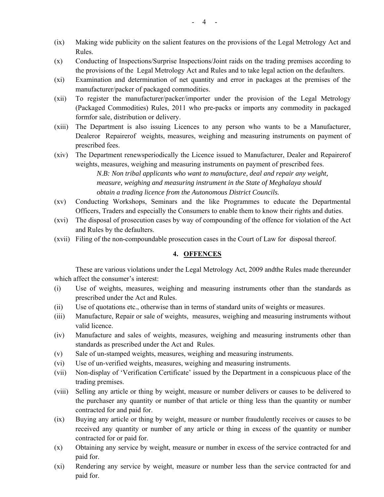- (ix) Making wide publicity on the salient features on the provisions of the Legal Metrology Act and Rules.
- (x) Conducting of Inspections/Surprise Inspections/Joint raids on the trading premises according to the provisions of the Legal Metrology Act and Rules and to take legal action on the defaulters.
- (xi) Examination and determination of net quantity and error in packages at the premises of the manufacturer/packer of packaged commodities.
- (xii) To register the manufacturer/packer/importer under the provision of the Legal Metrology (Packaged Commodities) Rules, 2011 who pre-packs or imports any commodity in packaged formfor sale, distribution or delivery.
- (xiii) The Department is also issuing Licences to any person who wants to be a Manufacturer, Dealeror Repairerof weights, measures, weighing and measuring instruments on payment of prescribed fees.
- (xiv) The Department renewsperiodically the Licence issued to Manufacturer, Dealer and Repairerof weights, measures, weighing and measuring instruments on payment of prescribed fees. *N.B: Non tribal applicants who want to manufacture, deal and repair any weight, measure, weighing and measuring instrument in the State of Meghalaya should obtain a trading licence from the Autonomous District Councils.*
- (xv) Conducting Workshops, Seminars and the like Programmes to educate the Departmental Officers, Traders and especially the Consumers to enable them to know their rights and duties.
- (xvi) The disposal of prosecution cases by way of compounding of the offence for violation of the Act and Rules by the defaulters.
- (xvii) Filing of the non-compoundable prosecution cases in the Court of Law for disposal thereof.

### **4. OFFENCES**

These are various violations under the Legal Metrology Act, 2009 andthe Rules made thereunder which affect the consumer's interest:

- (i) Use of weights, measures, weighing and measuring instruments other than the standards as prescribed under the Act and Rules.
- (ii) Use of quotations etc., otherwise than in terms of standard units of weights or measures.
- (iii) Manufacture, Repair or sale of weights, measures, weighing and measuring instruments without valid licence.
- (iv) Manufacture and sales of weights, measures, weighing and measuring instruments other than standards as prescribed under the Act and Rules.
- (v) Sale of un-stamped weights, measures, weighing and measuring instruments.
- (vi) Use of un-verified weights, measures, weighing and measuring instruments.
- (vii) Non-display of 'Verification Certificate' issued by the Department in a conspicuous place of the trading premises.
- (viii) Selling any article or thing by weight, measure or number delivers or causes to be delivered to the purchaser any quantity or number of that article or thing less than the quantity or number contracted for and paid for.
- (ix) Buying any article or thing by weight, measure or number fraudulently receives or causes to be received any quantity or number of any article or thing in excess of the quantity or number contracted for or paid for.
- (x) Obtaining any service by weight, measure or number in excess of the service contracted for and paid for.
- (xi) Rendering any service by weight, measure or number less than the service contracted for and paid for.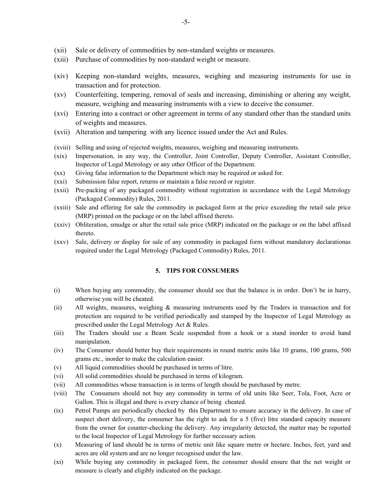- (xii) Sale or delivery of commodities by non-standard weights or measures.
- (xiii) Purchase of commodities by non-standard weight or measure.
- (xiv) Keeping non-standard weights, measures, weighing and measuring instruments for use in transaction and for protection.
- (xv) Counterfeiting, tempering, removal of seals and increasing, diminishing or altering any weight, measure, weighing and measuring instruments with a view to deceive the consumer.
- (xvi) Entering into a contract or other agreement in terms of any standard other than the standard units of weights and measures.
- (xvii) Alteration and tampering with any licence issued under the Act and Rules.
- (xviii) Selling and using of rejected weights, measures, weighing and measuring instruments.
- (xix) Impersonation, in any way, the Controller, Joint Controller, Deputy Controller, Assistant Controller, Inspector of Legal Metrology or any other Officer of the Department.
- (xx) Giving false information to the Department which may be required or asked for.
- (xxi) Submission false report, returns or maintain a false record or register.
- (xxii) Pre-packing of any packaged commodity without registration in accordance with the Legal Metrology (Packaged Commodity) Rules, 2011.
- (xxiii) Sale and offering for sale the commodity in packaged form at the price exceeding the retail sale price (MRP) printed on the package or on the label affixed thereto.
- (xxiv) Obliteration, smudge or alter the retail sale price (MRP) indicated on the package or on the label affixed thereto.
- (xxv) Sale, delivery or display for sale of any commodity in packaged form without mandatory declarationas required under the Legal Metrology (Packaged Commodity) Rules, 2011.

### **5. TIPS FOR CONSUMERS**

- (i) When buying any commodity, the consumer should see that the balance is in order. Don't be in hurry, otherwise you will be cheated.
- (ii) All weights, measures, weighing & measuring instruments used by the Traders in transaction and for protection are required to be verified periodically and stamped by the Inspector of Legal Metrology as prescribed under the Legal Metrology Act & Rules.
- (iii) The Traders should use a Beam Scale suspended from a hook or a stand inorder to avoid hand manipulation.
- (iv) The Consumer should better buy their requirements in round metric units like 10 grams, 100 grams, 500 grams etc., inorder to make the calculation easier.
- (v) All liquid commodities should be purchased in terms of litre.
- (vi) All solid commodities should be purchased in terms of kilogram.
- (vii) All commodities whose transaction is in terms of length should be purchased by metre.
- (viii) The Consumers should not buy any commodity in terms of old units like Seer, Tola, Foot, Acre or Gallon. This is illegal and there is every chance of being cheated.
- (ix) Petrol Pumps are periodically checked by this Department to ensure accuracy in the delivery. In case of suspect short delivery, the consumer has the right to ask for a 5 (five) litre standard capacity measure from the owner for counter-checking the delivery. Any irregularity detected, the matter may be reported to the local Inspector of Legal Metrology for further necessary action.
- (x) Measuring of land should be in terms of metric unit like square metre or hectare. Inches, feet, yard and acres are old system and are no longer recognised under the law.
- (xi) While buying any commodity in packaged form, the consumer should ensure that the net weight or measure is clearly and eligibly indicated on the package.